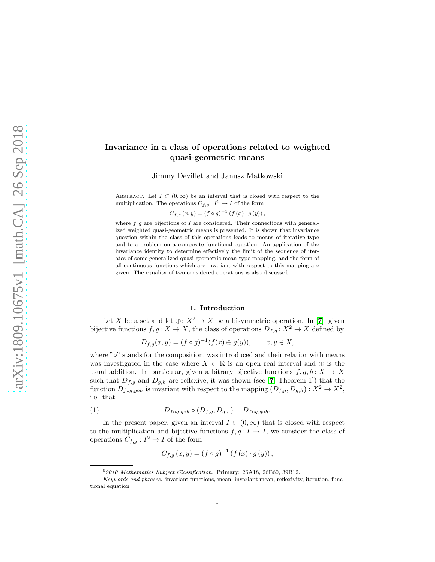# Invariance in a class of operations related to weighted quasi-geometric means

Jimmy Devillet and Janusz Matkowski

ABSTRACT. Let  $I \subset (0,\infty)$  be an interval that is closed with respect to the multiplication. The operations  $C_{f,g}: I^2 \to I$  of the form

 $C_{f,g}(x,y) = (f \circ g)^{-1} (f(x) \cdot g(y)),$ 

where  $f, g$  are bijections of  $I$  are considered. Their connections with generalized weighted quasi-geometric means is presented. It is shown that invariance question within the class of this operations leads to means of iterative type and to a problem on a composite functional equation. An application of the invariance identity to determine effectively the limit of the sequence of iterates of some generalized quasi-geometric mean-type mapping, and the form of all continuous functions which are invariant with respect to this mapping are given. The equality of two considered operations is also discussed.

### 1. Introduction

Let X be a set and let  $\oplus: X^2 \to X$  be a bisymmetric operation. In [[7](#page-13-0)], given bijective functions  $f, g \colon X \to X$ , the class of operations  $D_{f,g} \colon X^2 \to X$  defined by

$$
D_{f,g}(x,y) = (f \circ g)^{-1}(f(x) \oplus g(y)), \qquad x, y \in X,
$$

where "∘" stands for the composition, was introduced and their relation with means was investigated in the case where  $X \subset \mathbb{R}$  is an open real interval and  $\oplus$  is the usual addition. In particular, given arbitrary bijective functions  $f, g, h: X \to X$ such that  $D_{f,g}$  and  $D_{g,h}$  are reflexive, it was shown (see [[7](#page-13-0), Theorem 1]) that the function  $D_{f \circ g, g \circ h}$  is invariant with respect to the mapping  $(D_{f,g}, D_{g,h}) : X^2 \to X^2$ , i.e. that

(1) 
$$
D_{f \circ g, g \circ h} \circ (D_{f,g}, D_{g,h}) = D_{f \circ g, g \circ h}.
$$

In the present paper, given an interval  $I \subset (0,\infty)$  that is closed with respect to the multiplication and bijective functions  $f, g: I \to I$ , we consider the class of operations  $C_{f,g}: I^2 \to I$  of the form

$$
C_{f,g}\left(x,y\right)=\left(f\circ g\right)^{-1}\left(f\left(x\right)\cdot g\left(y\right)\right),
$$

<sup>0</sup>*2010 Mathematics Subject Classification.* Primary: 26A18, 26E60, 39B12.

*Keywords and phrases:* invariant functions, mean, invariant mean, reflexivity, iteration, functional equation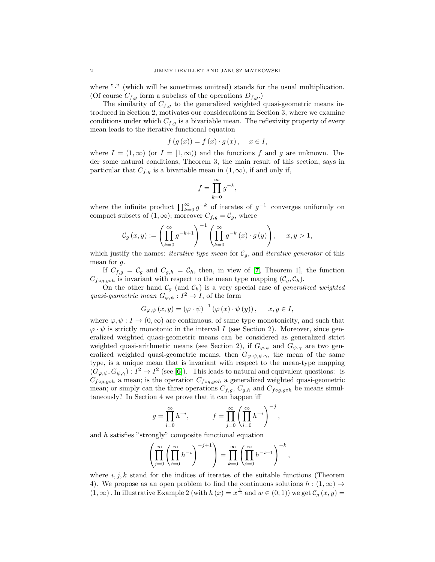where "." (which will be sometimes omitted) stands for the usual multiplication. (Of course  $C_{f,g}$  form a subclass of the operations  $D_{f,g}$ .)

The similarity of  $C_{f,g}$  to the generalized weighted quasi-geometric means introduced in Section 2, motivates our considerations in Section 3, where we examine conditions under which  $C_{f,g}$  is a bivariable mean. The reflexivity property of every mean leads to the iterative functional equation

$$
f(g(x)) = f(x) \cdot g(x), \quad x \in I,
$$

where  $I = (1, \infty)$  (or  $I = [1, \infty)$ ) and the functions f and q are unknown. Under some natural conditions, Theorem 3, the main result of this section, says in particular that  $C_{f,g}$  is a bivariable mean in  $(1,\infty)$ , if and only if,

$$
f = \prod_{k=0}^{\infty} g^{-k},
$$

where the infinite product  $\prod_{k=0}^{\infty} g^{-k}$  of iterates of  $g^{-1}$  converges uniformly on compact subsets of  $(1, \infty)$ ; moreover  $C_{f,g} = \mathcal{C}_g$ , where

$$
\mathcal{C}_g\left(x,y\right):=\left(\prod_{k=0}^{\infty}g^{-k+1}\right)^{-1}\left(\prod_{k=0}^{\infty}g^{-k}\left(x\right)\cdot g\left(y\right)\right),\quad \ x,y>1,
$$

which justify the names: *iterative type mean* for  $C_q$ , and *iterative generator* of this mean for g.

If  $C_{f,g} = C_g$  and  $C_{g,h} = C_h$ , then, in view of [[7](#page-13-0), Theorem 1], the function  $C_{f \circ g, g \circ h}$  is invariant with respect to the mean type mapping  $(C_g, C_h)$ .

On the other hand  $C_g$  (and  $C_h$ ) is a very special case of *generalized weighted* quasi-geometric mean  $G_{\varphi,\psi}: I^2 \to I$ , of the form

$$
G_{\varphi,\psi}(x,y) = (\varphi \cdot \psi)^{-1} (\varphi(x) \cdot \psi(y)), \quad x, y \in I,
$$

where  $\varphi, \psi : I \to (0, \infty)$  are continuous, of same type monotonicity, and such that  $\varphi \cdot \psi$  is strictly monotonic in the interval I (see Section 2). Moreover, since generalized weighted quasi-geometric means can be considered as generalized strict weighted quasi-arithmetic means (see Section 2), if  $G_{\varphi,\psi}$  and  $G_{\psi,\gamma}$  are two generalized weighted quasi-geometric means, then  $G_{\varphi \cdot \psi, \psi \cdot \gamma}$ , the mean of the same type, is a unique mean that is invariant with respect to the mean-type mapping  $(G_{\varphi,\psi}, G_{\psi,\gamma}): I^2 \to I^2$  (see [[6](#page-13-1)]). This leads to natural and equivalent questions: is  $C_{f \circ g, g \circ h}$  a mean; is the operation  $C_{f \circ g, g \circ h}$  a generalized weighted quasi-geometric mean; or simply can the three operations  $C_{f,g}, C_{g,h}$  and  $C_{f \circ g, g \circ h}$  be means simultaneously? In Section 4 we prove that it can happen iff

$$
g = \prod_{i=0}^{\infty} h^{-i}, \qquad f = \prod_{j=0}^{\infty} \left( \prod_{i=0}^{\infty} h^{-i} \right)^{-j},
$$

and h satisfies "strongly" composite functional equation

$$
\left(\prod_{j=0}^{\infty}\left(\prod_{i=0}^{\infty}h^{-i}\right)^{-j+1}\right)=\prod_{k=0}^{\infty}\left(\prod_{i=0}^{\infty}h^{-i+1}\right)^{-k},
$$

where  $i, j, k$  stand for the indices of iterates of the suitable functions (Theorem 4). We propose as an open problem to find the continuous solutions  $h : (1, \infty) \rightarrow$  $(1, \infty)$ . In illustrative Example 2 (with  $h(x) = x^{\frac{1}{w}}$  and  $w \in (0, 1)$ ) we get  $\mathcal{C}_g(x, y) =$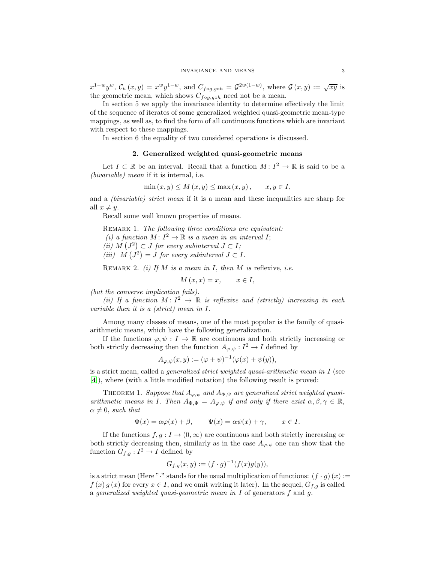$x^{1-w}y^w$ ,  $\mathcal{C}_h(x,y) = x^wy^{1-w}$ , and  $C_{f \circ g, g \circ h} = \mathcal{G}^{2w(1-w)}$ , where  $\mathcal{G}(x,y) := \sqrt{xy}$  is the geometric mean, which shows  $C_{f \circ g, g \circ h}$  need not be a mean.

In section 5 we apply the invariance identity to determine effectively the limit of the sequence of iterates of some generalized weighted quasi-geometric mean-type mappings, as well as, to find the form of all continuous functions which are invariant with respect to these mappings.

In section 6 the equality of two considered operations is discussed.

### 2. Generalized weighted quasi-geometric means

Let  $I \subset \mathbb{R}$  be an interval. Recall that a function  $M: I^2 \to \mathbb{R}$  is said to be a (bivariable) mean if it is internal, i.e.

$$
\min(x, y) \le M(x, y) \le \max(x, y), \qquad x, y \in I,
$$

and a *(bivariable) strict mean* if it is a mean and these inequalities are sharp for all  $x \neq y$ .

Recall some well known properties of means.

REMARK 1. The following three conditions are equivalent: (i) a function  $M: I^2 \to \mathbb{R}$  is a mean in an interval I; (ii)  $M\left(J^2\right) \subset J$  for every subinterval  $J \subset I$ ; (iii)  $M(J^2) = J$  for every subinterval  $J \subset I$ .

REMARK 2. (i) If M is a mean in I, then M is reflexive, i.e.

$$
M(x,x) = x, \qquad x \in I,
$$

(but the converse implication fails).

(ii) If a function  $M: I^2 \to \mathbb{R}$  is reflexive and (strictly) increasing in each variable then it is a (strict) mean in I.

Among many classes of means, one of the most popular is the family of quasiarithmetic means, which have the following generalization.

If the functions  $\varphi, \psi : I \to \mathbb{R}$  are continuous and both strictly increasing or both strictly decreasing then the function  $A_{\varphi,\psi}: I^2 \to I$  defined by

$$
A_{\varphi,\psi}(x,y) := (\varphi + \psi)^{-1}(\varphi(x) + \psi(y)),
$$

is a strict mean, called a *generalized strict weighted quasi-arithmetic mean in I* (see [[4](#page-13-2)]), where (with a little modified notation) the following result is proved:

<span id="page-2-0"></span>THEOREM 1. Suppose that  $A_{\varphi,\psi}$  and  $A_{\Phi,\Psi}$  are generalized strict weighted quasiarithmetic means in I. Then  $A_{\Phi,\Psi} = A_{\varphi,\psi}$  if and only if there exist  $\alpha, \beta, \gamma \in \mathbb{R}$ ,  $\alpha \neq 0$ , such that

$$
\Phi(x) = \alpha \varphi(x) + \beta, \qquad \Psi(x) = \alpha \psi(x) + \gamma, \qquad x \in I.
$$

If the functions  $f, g: I \to (0, \infty)$  are continuous and both strictly increasing or both strictly decreasing then, similarly as in the case  $A_{\varphi,\psi}$  one can show that the function  $G_{f,g}: I^2 \to I$  defined by

$$
G_{f,g}(x,y) := (f \cdot g)^{-1}(f(x)g(y)),
$$

is a strict mean (Here " $\cdot$ " stands for the usual multiplication of functions:  $(f \cdot g)(x) :=$  $f(x) g(x)$  for every  $x \in I$ , and we omit writing it later). In the sequel,  $G_{f,q}$  is called a generalized weighted quasi-geometric mean in  $I$  of generators  $f$  and  $g$ .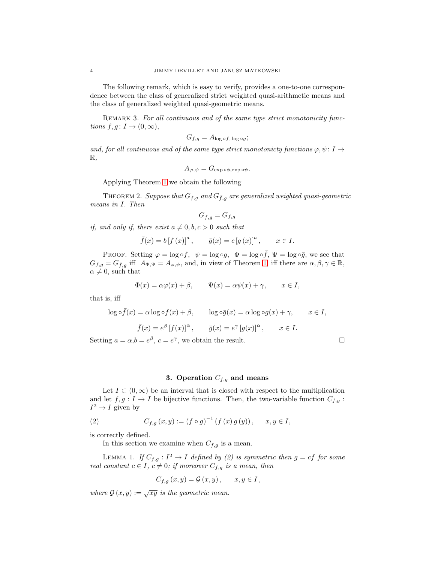The following remark, which is easy to verify, provides a one-to-one correspondence between the class of generalized strict weighted quasi-arithmetic means and the class of generalized weighted quasi-geometric means.

<span id="page-3-0"></span>REMARK 3. For all continuous and of the same type strict monotonicity functions  $f, g \colon I \to (0, \infty),$ 

$$
G_{f,g} = A_{\log \circ f, \log \circ g};
$$

and, for all continuous and of the same type strict monotonicty functions  $\varphi, \psi \colon I \to$  $\mathbb{R}$ .

$$
A_{\varphi,\psi} = G_{\exp \circ \phi, \exp \circ \psi}.
$$

Applying Theorem [1](#page-2-0) we obtain the following

THEOREM 2. Suppose that  $G_{f,g}$  and  $G_{\bar{f},\bar{g}}$  are generalized weighted quasi-geometric means in I. Then

$$
G_{\bar{f},\bar{g}} = G_{f,g}
$$

if, and only if, there exist  $a \neq 0, b, c > 0$  such that

$$
\bar{f}(x) = b [f (x)]^a
$$
,  $\bar{g}(x) = c [g (x)]^a$ ,  $x \in I$ .

PROOF. Setting  $\varphi = \log \circ f$ ,  $\psi = \log \circ g$ ,  $\Phi = \log \circ \bar{f}$ ,  $\Psi = \log \circ \bar{g}$ , we see that  $G_{f,g} = G_{\bar{f},\bar{g}}$  iff  $A_{\Phi,\Psi} = A_{\varphi,\psi}$ , and, in view of Theorem [1,](#page-2-0) iff there are  $\alpha, \beta, \gamma \in \mathbb{R}$ ,  $\alpha \neq 0$ , such that

$$
\Phi(x) = \alpha \varphi(x) + \beta, \qquad \Psi(x) = \alpha \psi(x) + \gamma, \qquad x \in I,
$$

that is, iff

$$
\log \circ \bar{f}(x) = \alpha \log \circ f(x) + \beta, \qquad \log \circ \bar{g}(x) = \alpha \log \circ g(x) + \gamma, \qquad x \in I,
$$

$$
\bar{f}(x) = e^{\beta} [f(x)]^{\alpha}, \qquad \bar{g}(x) = e^{\gamma} [g(x)]^{\alpha}, \qquad x \in I.
$$

Setting  $a = \alpha, b = e^{\beta}, c = e^{\gamma}$ , we obtain the result.

# 3. Operation  $C_{f,g}$  and means

Let  $I \subset (0,\infty)$  be an interval that is closed with respect to the multiplication and let  $f, g: I \to I$  be bijective functions. Then, the two-variable function  $C_{f,g}$ :  $I^2 \to I$  given by

(2) 
$$
C_{f,g}(x,y) := (f \circ g)^{-1} (f(x) g(y)), \quad x, y \in I,
$$

is correctly defined.

In this section we examine when  $C_{f,g}$  is a mean.

LEMMA 1. If  $C_{f,g}: I^2 \to I$  defined by (2) is symmetric then  $g = cf$  for some real constant  $c \in I$ ,  $c \neq 0$ ; if moreover  $C_{f,g}$  is a mean, then

$$
C_{f,g}(x,y) = \mathcal{G}(x,y), \quad x, y \in I,
$$

where  $\mathcal{G}(x, y) := \sqrt{xy}$  is the geometric mean.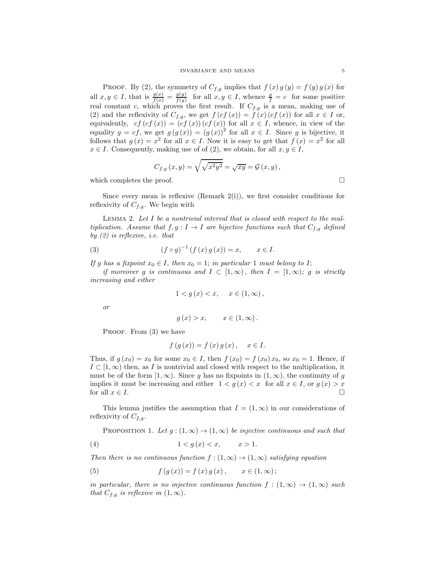PROOF. By (2), the symmetry of  $C_{f,g}$  implies that  $f(x) g(y) = f(y) g(x)$  for all  $x, y \in I$ , that is  $\frac{g(x)}{f(x)} = \frac{g(y)}{f(y)}$  $\frac{g(y)}{f(y)}$  for all  $x, y \in I$ , whence  $\frac{g}{f} = c$  for some positive real constant c, which proves the first result. If  $C_{f,g}$  is a mean, making use of (2) and the reflexivity of  $C_{f,g}$ , we get  $f(cf(x)) = f(x)(cf(x))$  for all  $x \in I$  or, equivalently,  $cf (cf (x)) = (cf (x))(cf (x))$  for all  $x \in I$ , whence, in view of the equality  $g = cf$ , we get  $g(g(x)) = (g(x))^2$  for all  $x \in I$ . Since g is bijective, it follows that  $g(x) = x^2$  for all  $x \in I$ . Now it is easy to get that  $f(x) = x^2$  for all  $x \in I$ . Consequently, making use of of (2), we obtain, for all  $x, y \in I$ ,

$$
C_{f,g}(x,y) = \sqrt{\sqrt{x^2 y^2}} = \sqrt{xy} = \mathcal{G}(x,y),
$$

which completes the proof.  $\Box$ 

Since every mean is reflexive (Remark  $2(i)$ ), we first consider conditions for reflexivity of  $C_{f,g}$ . We begin with

Lemma 2. Let I be a nontrivial interval that is closed with respect to the multiplication. Assume that  $f, g: I \to I$  are bijective functions such that  $C_{f,g}$  defined by (2) is reflexive, i.e. that

(3) 
$$
(f \circ g)^{-1} (f (x) g (x)) = x, \quad x \in I.
$$

If g has a fixpoint  $x_0 \in I$ , then  $x_0 = 1$ ; in particular 1 must belong to I;

if moreover g is continuous and  $I \subset [1,\infty)$ , then  $I = [1,\infty)$ ; g is strictly increasing and either

$$
1 < g(x) < x, \quad x \in (1, \infty),
$$

or

$$
g(x) > x, \qquad x \in (1, \infty).
$$

PROOF. From (3) we have

$$
f(g(x)) = f(x) g(x), \quad x \in I.
$$

Thus, if  $g(x_0) = x_0$  for some  $x_0 \in I$ , then  $f(x_0) = f(x_0)x_0$ , so  $x_0 = 1$ . Hence, if  $I \subset [1,\infty)$  then, as I is nontrivial and closed with respect to the multiplication, it must be of the form  $[1,\infty)$ . Since g has no fixpoints in  $(1,\infty)$ , the continuity of g implies it must be increasing and either  $1 < g(x) < x$  for all  $x \in I$ , or  $g(x) > x$  for all  $x \in I$ . for all  $x \in I$ .

This lemma justifies the assumption that  $I = (1, \infty)$  in our considerations of reflexivity of  $C_{f,q}$ .

PROPOSITION 1. Let  $g: (1,\infty) \to (1,\infty)$  be injective continuous and such that

$$
(4) \t\t\t 1 < g(x) < x, \t x > 1.
$$

Then there is no continuous function  $f:(1,\infty) \to (1,\infty)$  satisfying equation

(5) 
$$
f(g(x)) = f(x)g(x), \quad x \in (1, \infty);
$$

in particular, there is no injective continuous function  $f : (1,\infty) \to (1,\infty)$  such that  $C_{f,g}$  is reflexive in  $(1,\infty)$ .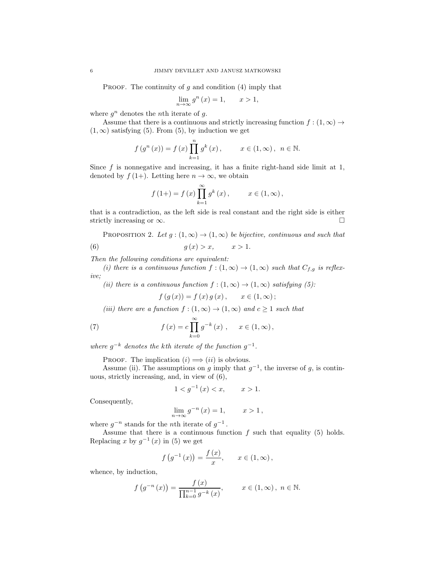PROOF. The continuity of  $g$  and condition (4) imply that

$$
\lim_{n \to \infty} g^n(x) = 1, \qquad x > 1,
$$

where  $g^n$  denotes the *n*th iterate of  $g$ .

Assume that there is a continuous and strictly increasing function  $f : (1, \infty) \rightarrow$  $(1, \infty)$  satisfying (5). From (5), by induction we get

$$
f(g^{n}(x)) = f(x) \prod_{k=1}^{n} g^{k}(x), \qquad x \in (1, \infty), \ n \in \mathbb{N}.
$$

Since  $f$  is nonnegative and increasing, it has a finite right-hand side limit at 1, denoted by  $f(1+)$ . Letting here  $n \to \infty$ , we obtain

$$
f(1+) = f(x) \prod_{k=1}^{\infty} g^{k}(x), \qquad x \in (1, \infty),
$$

that is a contradiction, as the left side is real constant and the right side is either strictly increasing or  $\infty$ .

PROPOSITION 2. Let  $g:(1,\infty) \to (1,\infty)$  be bijective, continuous and such that (6)  $q(x) > x, \quad x > 1.$ 

Then the following conditions are equivalent:

(i) there is a continuous function  $f : (1, \infty) \to (1, \infty)$  such that  $C_{f,g}$  is reflexive;

(ii) there is a continuous function  $f : (1, \infty) \to (1, \infty)$  satisfying (5):

$$
f(g(x)) = f(x)g(x), \quad x \in (1, \infty);
$$

(iii) there are a function  $f:(1,\infty) \to (1,\infty)$  and  $c \geq 1$  such that

(7) 
$$
f(x) = c \prod_{k=0}^{\infty} g^{-k}(x) , \quad x \in (1, \infty),
$$

where  $g^{-k}$  denotes the kth iterate of the function  $g^{-1}$ .

PROOF. The implication  $(i) \Longrightarrow (ii)$  is obvious.

Assume (ii). The assumptions on g imply that  $g^{-1}$ , the inverse of g, is continuous, strictly increasing, and, in view of (6),

$$
1 < g^{-1}(x) < x, \qquad x > 1.
$$

Consequently,

$$
\lim_{n \to \infty} g^{-n}(x) = 1, \qquad x > 1,
$$

where  $g^{-n}$  stands for the *n*th iterate of  $g^{-1}$ .

Assume that there is a continuous function  $f$  such that equality (5) holds. Replacing x by  $g^{-1}(x)$  in (5) we get

$$
f(g^{-1}(x)) = \frac{f(x)}{x}, \quad x \in (1, \infty),
$$

whence, by induction,

$$
f(g^{-n}(x)) = \frac{f(x)}{\prod_{k=0}^{n-1} g^{-k}(x)}, \qquad x \in (1, \infty), \ n \in \mathbb{N}.
$$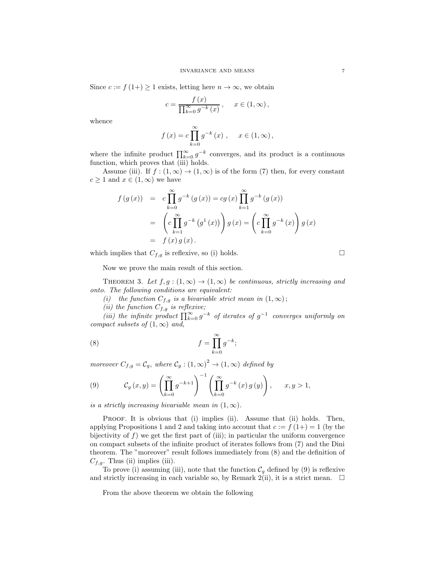Since  $c := f(1+) \geq 1$  exists, letting here  $n \to \infty$ , we obtain

$$
c = \frac{f(x)}{\prod_{k=0}^{\infty} g^{-k}(x)}, \quad x \in (1, \infty),
$$

whence

$$
f(x) = c \prod_{k=0}^{\infty} g^{-k}(x)
$$
,  $x \in (1, \infty)$ ,

where the infinite product  $\prod_{k=0}^{\infty} g^{-k}$  converges, and its product is a continuous function, which proves that (iii) holds.

Assume (iii). If  $f : (1, \infty) \to (1, \infty)$  is of the form (7) then, for every constant  $c \geq 1$  and  $x \in (1,\infty)$  we have

$$
f(g(x)) = c \prod_{k=0}^{\infty} g^{-k} (g(x)) = cg(x) \prod_{k=1}^{\infty} g^{-k} (g(x))
$$
  
= 
$$
\left(c \prod_{k=1}^{\infty} g^{-k} (g^{1}(x))\right) g(x) = \left(c \prod_{k=0}^{\infty} g^{-k} (x)\right) g(x)
$$
  
= 
$$
f(x) g(x).
$$

which implies that  $C_{f,g}$  is reflexive, so (i) holds.

Now we prove the main result of this section.

THEOREM 3. Let  $f, g : (1, \infty) \to (1, \infty)$  be continuous, strictly increasing and onto. The following conditions are equivalent:

(i) the function  $C_{f,g}$  is a bivariable strict mean in  $(1,\infty)$ ;

(ii) the function  $C_{f,g}$  is reflexive;

(iii) the infinite product  $\prod_{k=0}^{\infty} g^{-k}$  of iterates of  $g^{-1}$  converges uniformly on compact subsets of  $(1, \infty)$  and,

(8) 
$$
f = \prod_{k=0}^{\infty} g^{-k};
$$

moreover  $C_{f,g} = C_g$ , where  $C_g : (1, \infty)^2 \to (1, \infty)$  defined by

(9) 
$$
\mathcal{C}_g(x,y) = \left(\prod_{k=0}^{\infty} g^{-k+1}\right)^{-1} \left(\prod_{k=0}^{\infty} g^{-k}(x) g(y)\right), \quad x, y > 1,
$$

is a strictly increasing bivariable mean in  $(1, \infty)$ .

PROOF. It is obvious that (i) implies (ii). Assume that (ii) holds. Then, applying Propositions 1 and 2 and taking into account that  $c := f(1+) = 1$  (by the bijectivity of  $f$ ) we get the first part of (iii); in particular the uniform convergence on compact subsets of the infinite product of iterates follows from (7) and the Dini theorem. The "moreover" result follows immediately from (8) and the definition of  $C_{f,q}$ . Thus (ii) implies (iii).

To prove (i) assuming (iii), note that the function  $\mathcal{C}_g$  defined by (9) is reflexive and strictly increasing in each variable so, by Remark 2(ii), it is a strict mean.  $\Box$ 

From the above theorem we obtain the following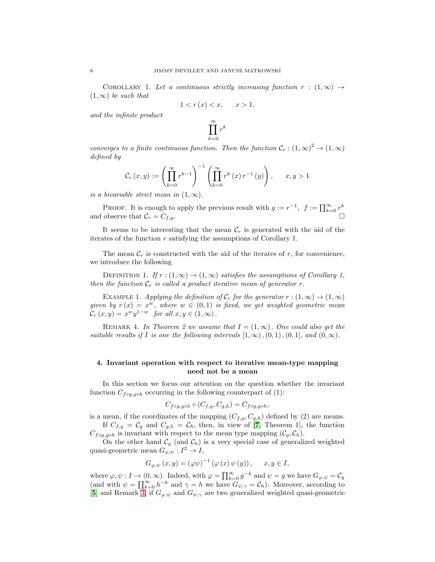COROLLARY 1. Let a continuous strictly increasing function  $r : (1, \infty) \rightarrow$  $(1, \infty)$  be such that

$$
1 < r(x) < x, \qquad x > 1,
$$

and the infinite product

$$
\prod_{k=0}^\infty r^k
$$

converges to a finite continuous function. Then the function  $C_r$ :  $(1, \infty)^2 \to (1, \infty)$ defined by

$$
\mathcal{C}_r(x,y) := \left(\prod_{k=0}^{\infty} r^{k-1}\right)^{-1} \left(\prod_{k=0}^{\infty} r^k(x) r^{-1}(y)\right), \qquad x, y > 1
$$

is a bivariable strict mean in  $(1, \infty)$ .

PROOF. It is enough to apply the previous result with  $g := r^{-1}$ ,  $f := \prod_{k=0}^{\infty} r^k$ and observe that  $\mathcal{C}_r = C_{f,g}$ .

It seems to be interesting that the mean  $\mathcal{C}_r$  is generated with the aid of the iterates of the function  $r$  satisfying the assumptions of Corollary 1.

The mean  $\mathcal{C}_r$  is constructed with the aid of the iterates of r, for convenience, we introduce the following

DEFINITION 1. If  $r : (1, \infty) \rightarrow (1, \infty)$  satisfies the assumptions of Corollary 1. then the function  $\mathcal{C}_r$  is called a product iterative mean of generator r.

EXAMPLE 1. Applying the definition of  $\mathcal{C}_r$  for the generator  $r : (1,\infty) \to (1,\infty)$ given by  $r(x) = x^w$ , where  $w \in (0,1)$  is fixed, we get weighted geometric mean  $\mathcal{C}_r(x,y) = x^w y^{1-w}$  for all  $x, y \in (1,\infty)$ .

REMARK 4. In Theorem 2 we assume that  $I = (1, \infty)$ . One could also get the suitable results if I is one the following intervals  $[1,\infty)$ ,  $(0,1)$ ,  $(0,1]$ , and  $(0,\infty)$ .

# 4. Invariant operation with respect to iterative mean-type mapping need not be a mean

In this section we focus our attention on the question whether the invariant function  $C_{f \circ g, g \circ h}$  occurring in the following counterpart of (1):

$$
C_{f \circ g, g \circ h} \circ (C_{f,g}, C_{g,h}) = C_{f \circ g, g \circ h},
$$

is a mean, if the coordinates of the mapping  $(C_{f,g}, C_{g,h})$  defined by (2) are means. If  $C_{f,g} = C_g$  and  $C_{g,h} = C_h$ , then, in view of [[7](#page-13-0), Theorem 1], the function

 $C_{f \circ g, g \circ h}$  is invariant with respect to the mean type mapping  $(C_g, C_h)$ . On the other hand  $\mathcal{C}_g$  (and  $\mathcal{C}_h$ ) is a very special case of generalized weighted

quasi-geometric mean  $G_{\varphi,\psi}: I^2 \to I$ ,

$$
G_{\varphi,\psi}(x,y) = (\varphi\psi)^{-1} (\varphi(x) \psi(y)), \quad x, y \in I,
$$

where  $\varphi, \psi : I \to (0, \infty)$ . Indeed, with  $\varphi = \prod_{k=0}^{\infty} g^{-k}$  and  $\psi = g$  we have  $G_{\varphi, \psi} = C_g$ (and with  $\psi = \prod_{k=0}^{\infty} h^{-k}$  and  $\gamma = h$  we have  $G_{\psi,\gamma} = C_h$ ). Moreover, according to [[5](#page-13-3)] and Remark [3,](#page-3-0) if  $G_{\varphi,\psi}$  and  $G_{\psi,\gamma}$  are two generalized weighted quasi-geometric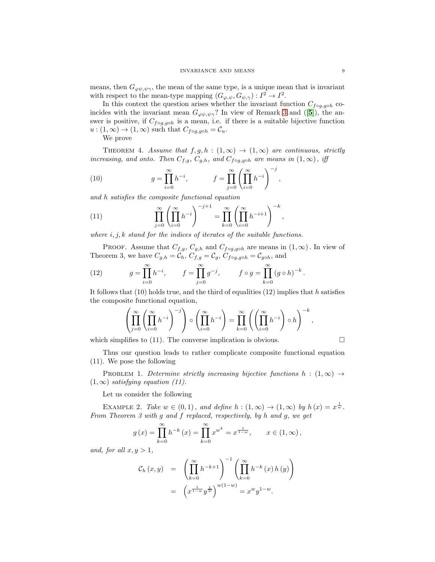means, then  $G_{\varphi\psi,\psi\gamma}$ , the mean of the same type, is a unique mean that is invariant with respect to the mean-type mapping  $(G_{\varphi,\psi}, G_{\psi,\gamma}) : I^2 \to I^2$ .

In this context the question arises whether the invariant function  $C_{f \circ g, g \circ h}$  coincides with the invariant mean  $G_{\varphi\psi,\psi\gamma}$ ? In view of Remark [3](#page-3-0) and ([[5](#page-13-3)]), the answer is positive, if  $C_{f \circ g, g \circ h}$  is a mean, i.e. if there is a suitable bijective function  $u:(1,\infty)\to(1,\infty)$  such that  $C_{f \circ g, g \circ h}=\mathcal{C}_u$ .

We prove

THEOREM 4. Assume that  $f, g, h : (1, \infty) \rightarrow (1, \infty)$  are continuous, strictly increasing, and onto. Then  $C_{f,g}, C_{g,h}$ , and  $C_{f \circ g, g \circ h}$  are means in  $(1, \infty)$ , iff

(10) 
$$
g = \prod_{i=0}^{\infty} h^{-i}, \qquad f = \prod_{j=0}^{\infty} \left( \prod_{i=0}^{\infty} h^{-i} \right)^{-j},
$$

and h satisfies the composite functional equation

(11) 
$$
\prod_{j=0}^{\infty} \left( \prod_{i=0}^{\infty} h^{-i} \right)^{-j+1} = \prod_{k=0}^{\infty} \left( \prod_{i=0}^{\infty} h^{-i+1} \right)^{-k},
$$

where  $i, j, k$  stand for the indices of iterates of the suitable functions.

PROOF. Assume that  $C_{f,g}, C_{g,h}$  and  $C_{f \circ g, g \circ h}$  are means in  $(1, \infty)$ . In view of Theorem 3, we have  $C_{g,h} = \overline{\mathcal{C}_h}$ ,  $\overline{C_{f,g}} = \mathcal{C}_g$ ,  $C_{f \circ g, g \circ h} = \mathcal{C}_{g \circ h}$ , and

(12) 
$$
g = \prod_{i=0}^{\infty} h^{-i}, \qquad f = \prod_{j=0}^{\infty} g^{-j}, \qquad f \circ g = \prod_{k=0}^{\infty} (g \circ h)^{-k}.
$$

It follows that  $(10)$  holds true, and the third of equalities  $(12)$  implies that h satisfies the composite functional equation,

$$
\left(\prod_{j=0}^{\infty}\left(\prod_{i=0}^{\infty}h^{-i}\right)^{-j}\right)\circ\left(\prod_{i=0}^{\infty}h^{-i}\right)=\prod_{k=0}^{\infty}\left(\left(\prod_{i=0}^{\infty}h^{-i}\right)\circ h\right)^{-k},
$$

which simplifies to (11). The converse implication is obvious.  $\Box$ 

Thus our question leads to rather complicate composite functional equation (11). We pose the following

PROBLEM 1. Determine strictly increasing bijective functions  $h : (1, \infty) \rightarrow$  $(1, \infty)$  satisfying equation (11).

Let us consider the following

EXAMPLE 2. Take  $w \in (0,1)$ , and define  $h : (1,\infty) \to (1,\infty)$  by  $h(x) = x^{\frac{1}{w}}$ . From Theorem 3 with g and f replaced, respectively, by h and g, we get

$$
g(x) = \prod_{k=0}^{\infty} h^{-k}(x) = \prod_{k=0}^{\infty} x^{w^k} = x^{\frac{1}{1-w}}, \qquad x \in (1, \infty),
$$

and, for all  $x, y > 1$ ,

$$
C_h(x,y) = \left(\prod_{k=0}^{\infty} h^{-k+1}\right)^{-1} \left(\prod_{k=0}^{\infty} h^{-k}(x) h(y)\right)
$$
  
=  $\left(x^{\frac{1}{1-w}} y^{\frac{1}{w}}\right)^{w(1-w)} = x^w y^{1-w}.$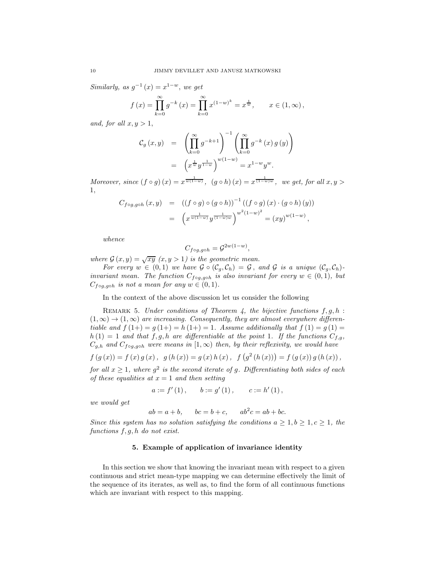Similarly, as  $g^{-1}(x) = x^{1-w}$ , we get

$$
f(x) = \prod_{k=0}^{\infty} g^{-k}(x) = \prod_{k=0}^{\infty} x^{(1-w)^k} = x^{\frac{1}{w}}, \qquad x \in (1, \infty),
$$

and, for all  $x, y > 1$ ,

$$
C_g(x,y) = \left(\prod_{k=0}^{\infty} g^{-k+1}\right)^{-1} \left(\prod_{k=0}^{\infty} g^{-k}(x) g(y)\right)
$$
  
=  $\left(x^{\frac{1}{w}} y^{\frac{1}{1-w}}\right)^{w(1-w)} = x^{1-w} y^w.$ 

Moreover, since  $(f \circ g)(x) = x^{\frac{1}{w(1-w)}}, (g \circ h)(x) = x^{\frac{1}{(1-w)w}},$  we get, for all  $x, y >$ 1,

$$
C_{f \circ g, g \circ h}(x, y) = ((f \circ g) \circ (g \circ h))^{-1} ((f \circ g) (x) \cdot (g \circ h) (y))
$$
  
= 
$$
\left( x^{\frac{1}{w(1-w)}} y^{\frac{1}{(1-w)w}} \right)^{w^2(1-w)^2} = (xy)^{w(1-w)},
$$

whence

$$
C_{f\circ g, g\circ h}=\mathcal{G}^{2w(1-w)},
$$

where  $G(x, y) = \sqrt{xy} (x, y > 1)$  is the geometric mean.

For every  $w \in (0,1)$  we have  $\mathcal{G} \circ (\mathcal{C}_g, \mathcal{C}_h) = \mathcal{G}$ , and  $\mathcal{G}$  is a unique  $(\mathcal{C}_g, \mathcal{C}_h)$ . invariant mean. The function  $C_{f \circ g, g \circ h}$  is also invariant for every  $w \in (0,1)$ , but  $C_{f \circ g, g \circ h}$  is not a mean for any  $w \in (0, 1)$ .

In the context of the above discussion let us consider the following

REMARK 5. Under conditions of Theorem 4, the bijective functions  $f, g, h$ :  $(1,\infty) \rightarrow (1,\infty)$  are increasing. Consequently, they are almost everywhere differentiable and  $f(1+) = g(1+) = h(1+) = 1$ . Assume additionally that  $f(1) = g(1) =$  $h(1) = 1$  and that f, g, h are differentiable at the point 1. If the functions  $C_{f,q}$ ,  $C_{g,h}$  and  $C_{f \circ g, g \circ h}$  were means in  $[1, \infty)$  then, by their reflexivity, we would have

$$
f(g(x)) = f(x)g(x), g(h(x)) = g(x)h(x), f(g^{2}(h(x))) = f(g(x))g(h(x)),
$$

for all  $x \geq 1$ , where  $g^2$  is the second iterate of g. Differentiating both sides of each of these equalities at  $x = 1$  and then setting

$$
a:=f'\left(1\right),\qquad b:=g'\left(1\right),\qquad c:=h'\left(1\right),
$$

we would get

 $ab = a + b$ ,  $bc = b + c$ ,  $ab^2c = ab + bc$ .

Since this system has no solution satisfying the conditions  $a \geq 1, b \geq 1, c \geq 1$ , the functions  $f, g, h$  do not exist.

## 5. Example of application of invariance identity

In this section we show that knowing the invariant mean with respect to a given continuous and strict mean-type mapping we can determine effectively the limit of the sequence of its iterates, as well as, to find the form of all continuous functions which are invariant with respect to this mapping.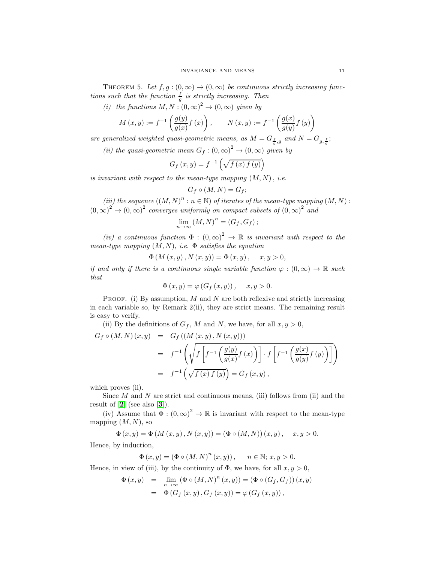<span id="page-10-0"></span>THEOREM 5. Let  $f, g : (0, \infty) \to (0, \infty)$  be continuous strictly increasing functions such that the function  $\frac{f}{g}$  is strictly increasing. Then

(i) the functions  $M, N : (0, \infty)^2 \to (0, \infty)$  given by

$$
M(x,y) := f^{-1}\left(\frac{g(y)}{g(x)}f(x)\right), \qquad N(x,y) := f^{-1}\left(\frac{g(x)}{g(y)}f(y)\right)
$$

are generalized weighted quasi-geometric means, as  $M = G_{\frac{f}{g},g}$  and  $N = G_{g,\frac{f}{g}}$ ;

(ii) the quasi-geometric mean  $G_f : (0, \infty)^2 \to (0, \infty)$  given by

$$
G_f(x,y) = f^{-1}\left(\sqrt{f(x) f(y)}\right)
$$

is invariant with respect to the mean-type mapping  $(M, N)$ , i.e.

$$
G_f\circ (M,N)=G_f;
$$

(iii) the sequence  $((M, N)^n : n \in \mathbb{N})$  of iterates of the mean-type mapping  $(M, N)$ :  $(0, \infty)^2 \to (0, \infty)^2$  converges uniformly on compact subsets of  $(0, \infty)^2$  and

$$
\lim_{n\to\infty} (M,N)^n = (G_f, G_f);
$$

(iv) a continuous function  $\Phi : (0,\infty)^2 \to \mathbb{R}$  is invariant with respect to the mean-type mapping  $(M, N)$ , i.e.  $\Phi$  satisfies the equation

$$
\Phi(M(x, y), N(x, y)) = \Phi(x, y), \quad x, y > 0,
$$

if and only if there is a continuous single variable function  $\varphi : (0, \infty) \to \mathbb{R}$  such that

$$
\Phi(x, y) = \varphi(G_f(x, y)), \quad x, y > 0.
$$

**PROOF.** (i) By assumption,  $M$  and  $N$  are both reflexive and strictly increasing in each variable so, by Remark 2(ii), they are strict means. The remaining result is easy to verify.

(ii) By the definitions of  $G_f$ , M and N, we have, for all  $x, y > 0$ ,

$$
G_f \circ (M, N) (x, y) = G_f ((M (x, y), N (x, y)))
$$
  
= 
$$
f^{-1} \left( \sqrt{f \left[ f^{-1} \left( \frac{g(y)}{g(x)} f(x) \right) \right] \cdot f \left[ f^{-1} \left( \frac{g(x)}{g(y)} f(y) \right) \right]} \right)
$$
  
= 
$$
f^{-1} \left( \sqrt{f(x) f(y)} \right) = G_f (x, y),
$$

which proves (ii).

Since  $M$  and  $N$  are strict and continuous means, (iii) follows from (ii) and the result of  $[2]$  $[2]$  $[2]$  (see also  $[3]$  $[3]$  $[3]$ ).

(iv) Assume that  $\Phi : (0, \infty)^2 \to \mathbb{R}$  is invariant with respect to the mean-type mapping  $(M, N)$ , so

$$
\Phi(x, y) = \Phi(M(x, y), N(x, y)) = (\Phi \circ (M, N))(x, y), \quad x, y > 0.
$$

Hence, by induction,

$$
\Phi(x, y) = (\Phi \circ (M, N)^{n}(x, y)), \quad n \in \mathbb{N}; x, y > 0.
$$

Hence, in view of (iii), by the continuity of  $\Phi$ , we have, for all  $x, y > 0$ ,

$$
\begin{array}{rcl}\n\Phi\left(x,y\right) & = & \lim_{n \to \infty} \left(\Phi \circ \left(M,N\right)^n(x,y)\right) = \left(\Phi \circ \left(G_f, G_f\right)\right)(x,y) \\
& = & \Phi\left(G_f\left(x,y\right), G_f\left(x,y\right)\right) = \varphi\left(G_f\left(x,y\right)\right),\n\end{array}
$$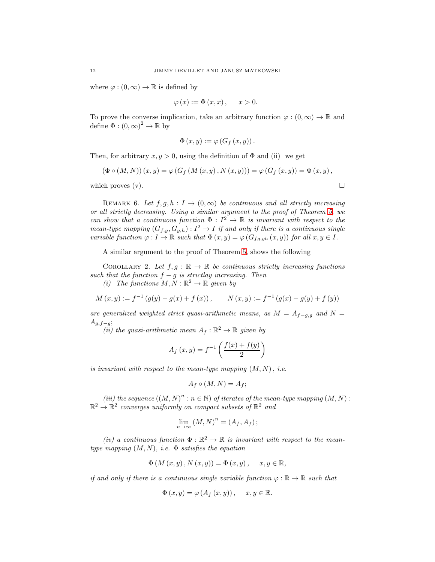where  $\varphi : (0, \infty) \to \mathbb{R}$  is defined by

$$
\varphi(x) := \Phi(x, x), \quad x > 0.
$$

To prove the converse implication, take an arbitrary function  $\varphi : (0, \infty) \to \mathbb{R}$  and define  $\Phi : (0, \infty)^2 \to \mathbb{R}$  by

$$
\Phi(x, y) := \varphi\left(G_f(x, y)\right).
$$

Then, for arbitrary  $x, y > 0$ , using the definition of  $\Phi$  and (ii) we get

$$
(\Phi \circ (M, N)) (x, y) = \varphi (G_f (M (x, y), N (x, y))) = \varphi (G_f (x, y)) = \Phi (x, y),
$$

which proves  $(v)$ .

REMARK 6. Let  $f, g, h : I \to (0, \infty)$  be continuous and all strictly increasing or all strictly decreasing. Using a similar argument to the proof of Theorem [5,](#page-10-0) we can show that a continuous function  $\Phi: I^2 \to \mathbb{R}$  is invariant with respect to the mean-type mapping  $(G_{f,g}, G_{g,h}): I^2 \to I$  if and only if there is a continuous single variable function  $\varphi: I \to \mathbb{R}$  such that  $\Phi(x, y) = \varphi(G_{fg, gh}(x, y))$  for all  $x, y \in I$ .

A similar argument to the proof of Theorem [5,](#page-10-0) shows the following

COROLLARY 2. Let  $f, g : \mathbb{R} \to \mathbb{R}$  be continuous strictly increasing functions such that the function  $f - g$  is strictlay increasing. Then

(i) The functions  $M, N : \mathbb{R}^2 \to \mathbb{R}$  given by

$$
M(x, y) := f^{-1}(g(y) - g(x) + f(x)), \qquad N(x, y) := f^{-1}(g(x) - g(y) + f(y))
$$

are generalized weighted strict quasi-arithmetic means, as  $M = A_{f-g,g}$  and  $N =$  $A_{q,f-q};$ 

(*ii*) the quasi-arithmetic mean  $A_f : \mathbb{R}^2 \to \mathbb{R}$  given by

$$
A_f(x, y) = f^{-1}\left(\frac{f(x) + f(y)}{2}\right)
$$

is invariant with respect to the mean-type mapping  $(M, N)$ , i.e.

$$
A_f\circ (M,N)=A_f;
$$

(iii) the sequence  $((M, N)^n : n \in \mathbb{N})$  of iterates of the mean-type mapping  $(M, N) : \mathbb{R}^2 \to \mathbb{R}^2$  converges uniformly on compact subsets of  $\mathbb{R}^2$  and

$$
\lim_{n \to \infty} (M, N)^n = (A_f, A_f);
$$

(iv) a continuous function  $\Phi : \mathbb{R}^2 \to \mathbb{R}$  is invariant with respect to the meantype mapping  $(M, N)$ , i.e.  $\Phi$  satisfies the equation

$$
\Phi\left(M\left(x,y\right),N\left(x,y\right)\right)=\Phi\left(x,y\right),\quad x,y\in\mathbb{R},
$$

if and only if there is a continuous single variable function  $\varphi : \mathbb{R} \to \mathbb{R}$  such that

$$
\Phi(x, y) = \varphi(A_f(x, y)), \quad x, y \in \mathbb{R}.
$$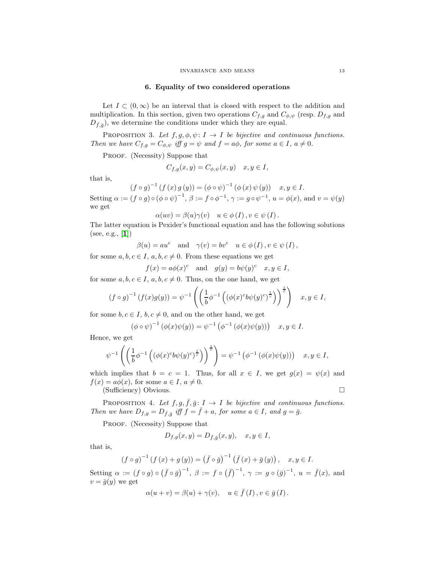#### 6. Equality of two considered operations

Let  $I \subset (0,\infty)$  be an interval that is closed with respect to the addition and multiplication. In this section, given two operations  $C_{f,g}$  and  $C_{\phi,\psi}$  (resp.  $D_{f,g}$  and  $D_{\bar{f},\bar{g}}$ , we determine the conditions under which they are equal.

PROPOSITION 3. Let  $f, g, \phi, \psi \colon I \to I$  be bijective and continuous functions. Then we have  $C_{f,g} = C_{\phi,\psi}$  iff  $g = \psi$  and  $f = a\phi$ , for some  $a \in I$ ,  $a \neq 0$ .

PROOF. (Necessity) Suppose that

$$
C_{f,g}(x,y) = C_{\phi,\psi}(x,y) \quad x, y \in I,
$$

that is,

$$
(f \circ g)^{-1} (f (x) g (y)) = (\phi \circ \psi)^{-1} (\phi (x) \psi (y)) \quad x, y \in I.
$$

Setting  $\alpha := (f \circ g) \circ (\phi \circ \psi)^{-1}, \ \beta := f \circ \phi^{-1}, \ \gamma := g \circ \psi^{-1}, \ u = \phi(x)$ , and  $v = \psi(y)$ we get

$$
\alpha(uv) = \beta(u)\gamma(v) \quad u \in \phi(I), v \in \psi(I).
$$

The latter equation is Pexider's functional equation and has the following solutions  $(see, e.g., [1])$  $(see, e.g., [1])$  $(see, e.g., [1])$ 

$$
\beta(u) = au^c
$$
 and  $\gamma(v) = bv^c$   $u \in \phi(I), v \in \psi(I),$ 

for some  $a, b, c \in I$ ,  $a, b, c \neq 0$ . From these equations we get

$$
f(x) = a\phi(x)^c
$$
 and  $g(y) = b\psi(y)^c$   $x, y \in I$ ,

for some  $a, b, c \in I$ ,  $a, b, c \neq 0$ . Thus, on the one hand, we get

$$
(f \circ g)^{-1} (f(x)g(y)) = \psi^{-1} \left( \left( \frac{1}{b} \phi^{-1} \left( (\phi(x)^c b \psi(y)^c)^{\frac{1}{c}} \right) \right)^{\frac{1}{c}} \right) \quad x, y \in I,
$$

for some  $b, c \in I, b, c \neq 0$ , and on the other hand, we get

$$
(\phi \circ \psi)^{-1} (\phi(x)\psi(y)) = \psi^{-1} (\phi^{-1} (\phi(x)\psi(y))) \quad x, y \in I.
$$

Hence, we get

$$
\psi^{-1}\left(\left(\frac{1}{b}\phi^{-1}\left((\phi(x)^c b\psi(y)^c)^{\frac{1}{c}}\right)\right)^{\frac{1}{c}}\right) = \psi^{-1}\left(\phi^{-1}\left(\phi(x)\psi(y)\right)\right) \quad x, y \in I,
$$

which implies that  $b = c = 1$ . Thus, for all  $x \in I$ , we get  $g(x) = \psi(x)$  and  $f(x) = a\phi(x)$ , for some  $a \in I$ ,  $a \neq 0$ . (Sufficiency) Obvious.

PROPOSITION 4. Let 
$$
f, g, \overline{f}, \overline{g}: I \to I
$$
 be bijective and continuous functions.  
Then we have  $D_{f,g} = D_{\overline{f}, \overline{g}}$  iff  $f = \overline{f} + a$ , for some  $a \in I$ , and  $g = \overline{g}$ .

PROOF. (Necessity) Suppose that

$$
D_{f,g}(x,y)=D_{\bar f,\bar g}(x,y),\quad x,y\in I,
$$

that is,

$$
(f \circ g)^{-1} (f (x) + g (y)) = (\bar{f} \circ \bar{g})^{-1} (\bar{f} (x) + \bar{g} (y)), \quad x, y \in I.
$$

Setting  $\alpha := (f \circ g) \circ (\bar{f} \circ \bar{g})^{-1}, \ \beta := f \circ (\bar{f})^{-1}, \ \gamma := g \circ (\bar{g})^{-1}, \ u = \bar{f}(x)$ , and  $v = \overline{q}(y)$  we get

$$
\alpha(u + v) = \beta(u) + \gamma(v), \quad u \in \bar{f}(I), v \in \bar{g}(I).
$$